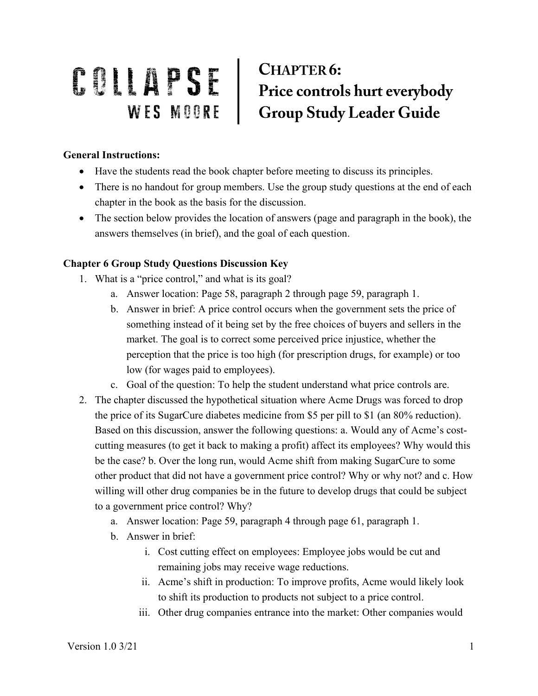## COLLAPSE CHAPTER6:<br>
WES MOORE Group Study Leader Guide **CHAPTER 6:**

## **General Instructions:**

- Have the students read the book chapter before meeting to discuss its principles.
- There is no handout for group members. Use the group study questions at the end of each chapter in the book as the basis for the discussion.
- The section below provides the location of answers (page and paragraph in the book), the answers themselves (in brief), and the goal of each question.

## **Chapter 6 Group Study Questions Discussion Key**

- 1. What is a "price control," and what is its goal?
	- a. Answer location: Page 58, paragraph 2 through page 59, paragraph 1.
	- b. Answer in brief: A price control occurs when the government sets the price of something instead of it being set by the free choices of buyers and sellers in the market. The goal is to correct some perceived price injustice, whether the perception that the price is too high (for prescription drugs, for example) or too low (for wages paid to employees).
	- c. Goal of the question: To help the student understand what price controls are.
- 2. The chapter discussed the hypothetical situation where Acme Drugs was forced to drop the price of its SugarCure diabetes medicine from \$5 per pill to \$1 (an 80% reduction). Based on this discussion, answer the following questions: a. Would any of Acme's costcutting measures (to get it back to making a profit) affect its employees? Why would this be the case? b. Over the long run, would Acme shift from making SugarCure to some other product that did not have a government price control? Why or why not? and c. How willing will other drug companies be in the future to develop drugs that could be subject to a government price control? Why?
	- a. Answer location: Page 59, paragraph 4 through page 61, paragraph 1.
	- b. Answer in brief:
		- i. Cost cutting effect on employees: Employee jobs would be cut and remaining jobs may receive wage reductions.
		- ii. Acme's shift in production: To improve profits, Acme would likely look to shift its production to products not subject to a price control.
		- iii. Other drug companies entrance into the market: Other companies would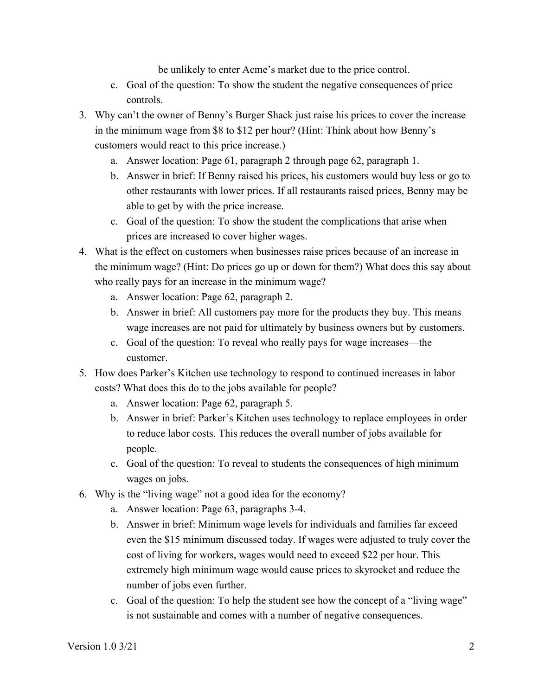be unlikely to enter Acme's market due to the price control.

- c. Goal of the question: To show the student the negative consequences of price controls.
- 3. Why can't the owner of Benny's Burger Shack just raise his prices to cover the increase in the minimum wage from \$8 to \$12 per hour? (Hint: Think about how Benny's customers would react to this price increase.)
	- a. Answer location: Page 61, paragraph 2 through page 62, paragraph 1.
	- b. Answer in brief: If Benny raised his prices, his customers would buy less or go to other restaurants with lower prices. If all restaurants raised prices, Benny may be able to get by with the price increase.
	- c. Goal of the question: To show the student the complications that arise when prices are increased to cover higher wages.
- 4. What is the effect on customers when businesses raise prices because of an increase in the minimum wage? (Hint: Do prices go up or down for them?) What does this say about who really pays for an increase in the minimum wage?
	- a. Answer location: Page 62, paragraph 2.
	- b. Answer in brief: All customers pay more for the products they buy. This means wage increases are not paid for ultimately by business owners but by customers.
	- c. Goal of the question: To reveal who really pays for wage increases—the customer.
- 5. How does Parker's Kitchen use technology to respond to continued increases in labor costs? What does this do to the jobs available for people?
	- a. Answer location: Page 62, paragraph 5.
	- b. Answer in brief: Parker's Kitchen uses technology to replace employees in order to reduce labor costs. This reduces the overall number of jobs available for people.
	- c. Goal of the question: To reveal to students the consequences of high minimum wages on jobs.
- 6. Why is the "living wage" not a good idea for the economy?
	- a. Answer location: Page 63, paragraphs 3-4.
	- b. Answer in brief: Minimum wage levels for individuals and families far exceed even the \$15 minimum discussed today. If wages were adjusted to truly cover the cost of living for workers, wages would need to exceed \$22 per hour. This extremely high minimum wage would cause prices to skyrocket and reduce the number of jobs even further.
	- c. Goal of the question: To help the student see how the concept of a "living wage" is not sustainable and comes with a number of negative consequences.